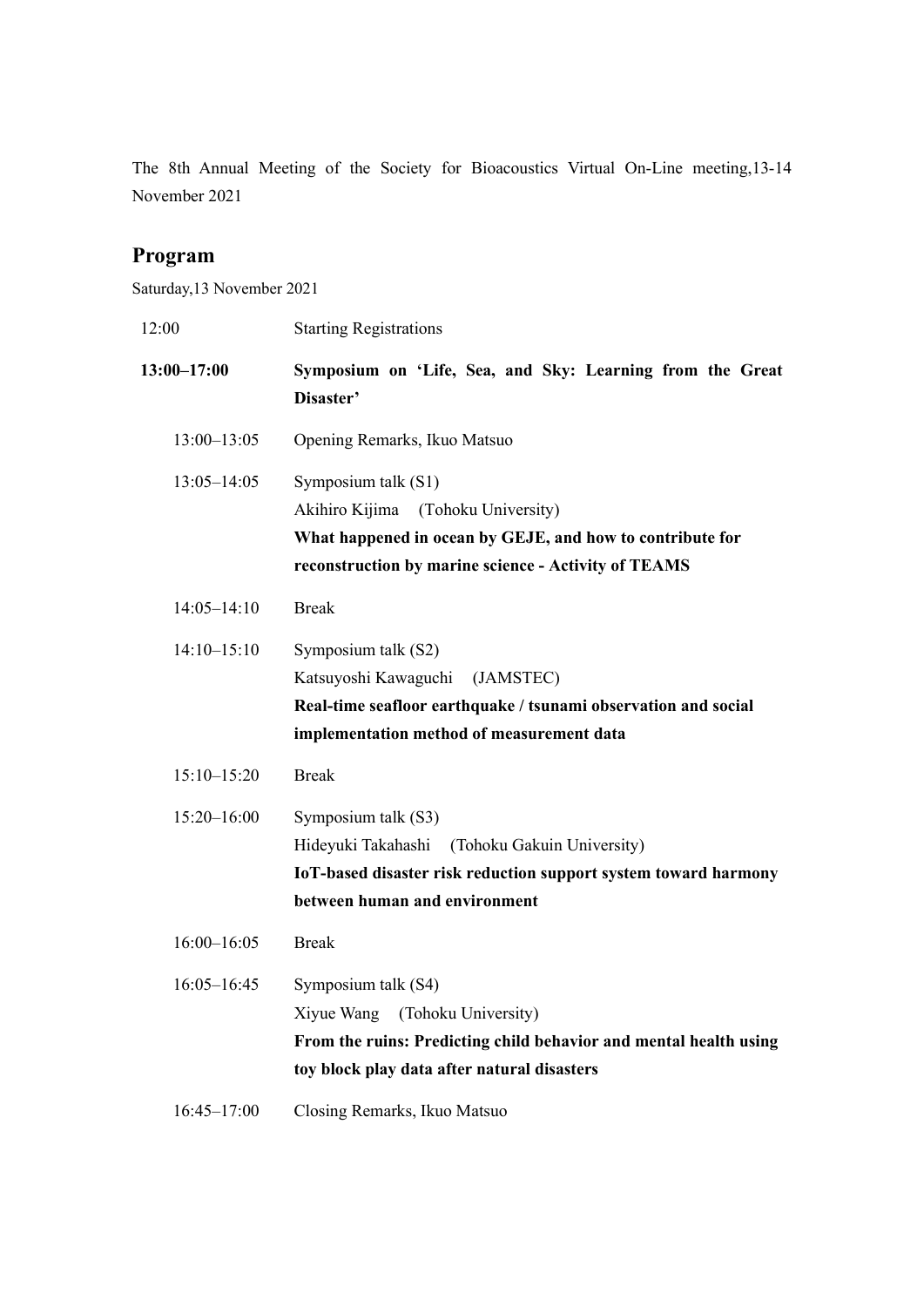The 8th Annual Meeting of the Society for Bioacoustics Virtual On-Line meeting,13-14 November 2021

# **Program**

Saturday,13 November 2021

| 12:00           | <b>Starting Registrations</b>                                                                                                                                                     |
|-----------------|-----------------------------------------------------------------------------------------------------------------------------------------------------------------------------------|
| $13:00 - 17:00$ | Symposium on 'Life, Sea, and Sky: Learning from the Great<br>Disaster'                                                                                                            |
| $13:00 - 13:05$ | Opening Remarks, Ikuo Matsuo                                                                                                                                                      |
| $13:05 - 14:05$ | Symposium talk (S1)<br>Akihiro Kijima<br>(Tohoku University)<br>What happened in ocean by GEJE, and how to contribute for<br>reconstruction by marine science - Activity of TEAMS |
| $14:05 - 14:10$ | <b>Break</b>                                                                                                                                                                      |
| $14:10-15:10$   | Symposium talk (S2)<br>Katsuyoshi Kawaguchi<br>(JAMSTEC)<br>Real-time seafloor earthquake / tsunami observation and social<br>implementation method of measurement data           |
| $15:10 - 15:20$ | <b>Break</b>                                                                                                                                                                      |
| $15:20 - 16:00$ | Symposium talk (S3)<br>(Tohoku Gakuin University)<br>Hideyuki Takahashi<br>IoT-based disaster risk reduction support system toward harmony<br>between human and environment       |
| $16:00 - 16:05$ | <b>Break</b>                                                                                                                                                                      |
| $16:05 - 16:45$ | Symposium talk (S4)<br>(Tohoku University)<br>Xiyue Wang<br>From the ruins: Predicting child behavior and mental health using<br>toy block play data after natural disasters      |
| $16:45 - 17:00$ | Closing Remarks, Ikuo Matsuo                                                                                                                                                      |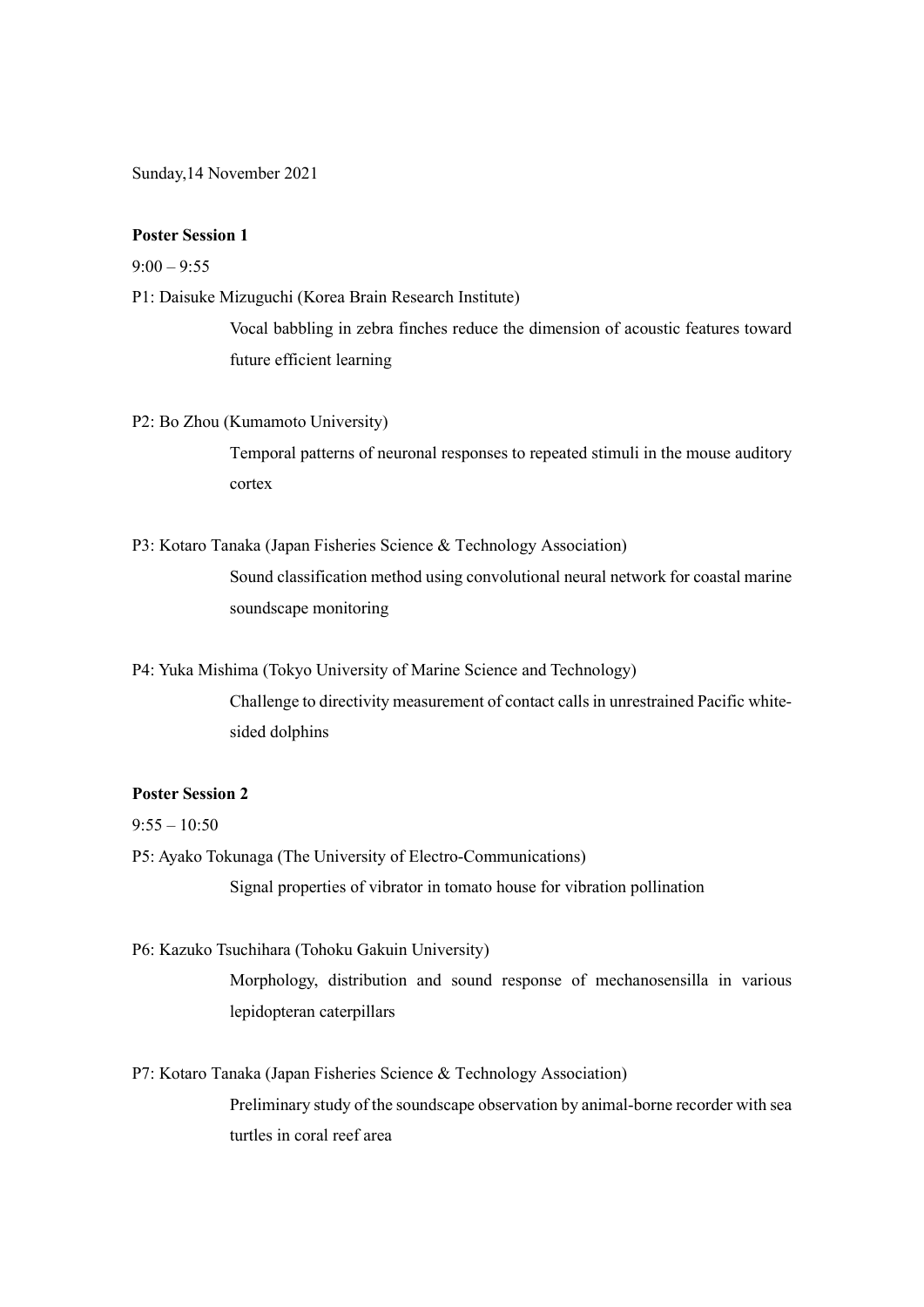Sunday,14 November 2021

## **Poster Session 1**

 $9:00 - 9:55$ 

P1: Daisuke Mizuguchi (Korea Brain Research Institute)

Vocal babbling in zebra finches reduce the dimension of acoustic features toward future efficient learning

P2: Bo Zhou (Kumamoto University)

Temporal patterns of neuronal responses to repeated stimuli in the mouse auditory cortex

P3: Kotaro Tanaka (Japan Fisheries Science & Technology Association) Sound classification method using convolutional neural network for coastal marine soundscape monitoring

P4: Yuka Mishima (Tokyo University of Marine Science and Technology) Challenge to directivity measurement of contact calls in unrestrained Pacific whitesided dolphins

## **Poster Session 2**

 $9:55 - 10:50$ 

P5: Ayako Tokunaga (The University of Electro-Communications) Signal properties of vibrator in tomato house for vibration pollination

P6: Kazuko Tsuchihara (Tohoku Gakuin University)

Morphology, distribution and sound response of mechanosensilla in various lepidopteran caterpillars

P7: Kotaro Tanaka (Japan Fisheries Science & Technology Association) Preliminary study of the soundscape observation by animal-borne recorder with sea turtles in coral reef area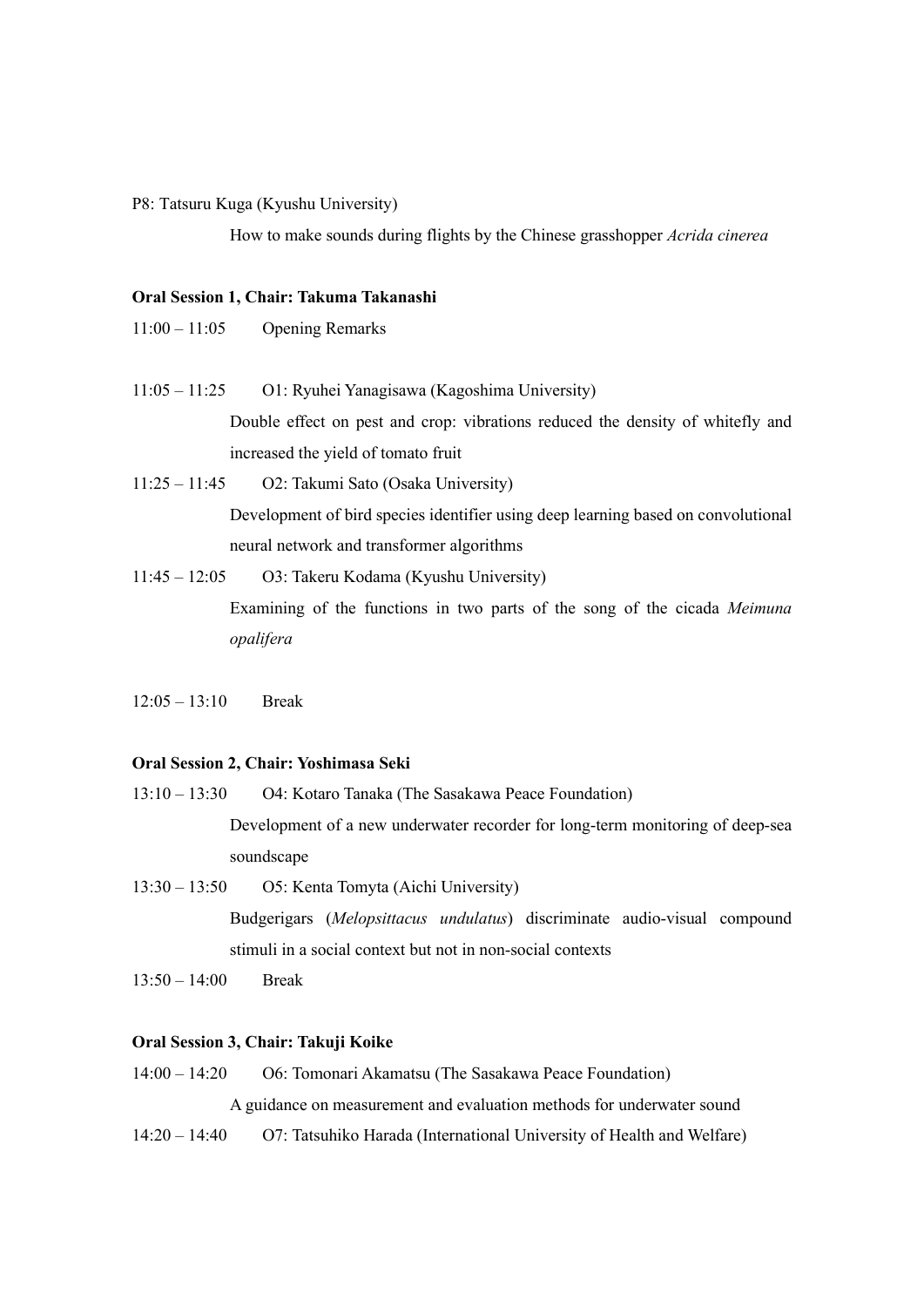#### P8: Tatsuru Kuga (Kyushu University)

How to make sounds during flights by the Chinese grasshopper *Acrida cinerea*

## **Oral Session 1, Chair: Takuma Takanashi**

- 11:00 11:05 Opening Remarks
- 11:05 11:25 O1: Ryuhei Yanagisawa (Kagoshima University) Double effect on pest and crop: vibrations reduced the density of whitefly and increased the yield of tomato fruit
- 11:25 11:45 O2: Takumi Sato (Osaka University) Development of bird species identifier using deep learning based on convolutional neural network and transformer algorithms
- 11:45 12:05 O3: Takeru Kodama (Kyushu University) Examining of the functions in two parts of the song of the cicada *Meimuna opalifera*
- $12:05 13:10$  Break

## **Oral Session 2, Chair: Yoshimasa Seki**

- 13:10 13:30 O4: Kotaro Tanaka (The Sasakawa Peace Foundation) Development of a new underwater recorder for long-term monitoring of deep-sea soundscape
- 13:30 13:50 O5: Kenta Tomyta (Aichi University) Budgerigars (*Melopsittacus undulatus*) discriminate audio-visual compound stimuli in a social context but not in non-social contexts
- $13:50 14:00$  Break

## **Oral Session 3, Chair: Takuji Koike**

- 14:00 14:20 O6: Tomonari Akamatsu (The Sasakawa Peace Foundation) A guidance on measurement and evaluation methods for underwater sound
- 14:20 14:40 O7: Tatsuhiko Harada (International University of Health and Welfare)